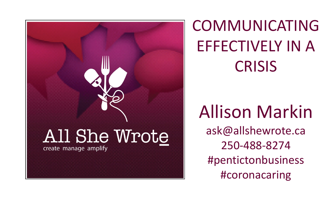# All She Wrote create manage amplify



### COMMUNICATING EFFECTIVELY IN A CRISIS

### Allison Markin ask@allshewrote.ca 250-488-8274 #pentictonbusiness #coronacaring



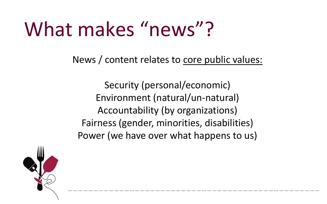#### News / content relates to core public values:

### What makes "news"?

Security (personal/economic) Environment (natural/un-natural) Accountability (by organizations) Fairness (gender, minorities, disabilities) Power (we have over what happens to us)

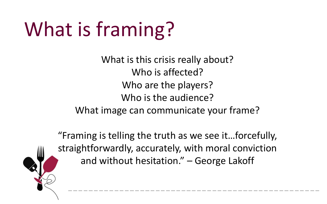### What is framing?

- -
	-
	-
- 
- 



What is this crisis really about? Who is affected? Who are the players? Who is the audience? What image can communicate your frame?

"Framing is telling the truth as we see it…forcefully, straightforwardly, accurately, with moral conviction and without hesitation." – George Lakoff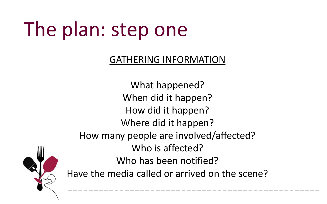## The plan: step one

### GATHERING INFORMATION

- What happened?
- When did it happen?
- How did it happen?
- Where did it happen?
- How many people are involved/affected?
	- Who is affected?
	- Who has been notified?
- Have the media called or arrived on the scene?

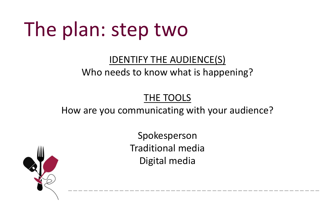## The plan: step two

#### IDENTIFY THE AUDIENCE(S) Who needs to know what is happening?

THE TOOLS How are you communicating with your audience?

Spokesperson Traditional media Digital media

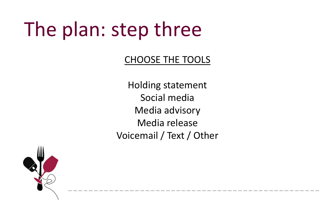## The plan: step three

### CHOOSE THE TOOLS

Holding statement Social media Media advisory Media release Voicemail / Text / Other

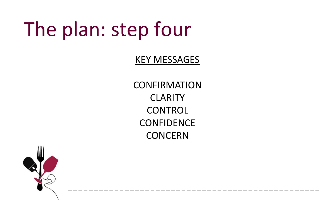## The plan: step four

#### KEY MESSAGES

**CONFIRMATION** CLARITY CONTROL **CONFIDENCE** CONCERN

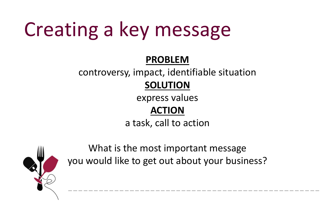## Creating a key message

#### **PROBLEM**

- controversy, impact, identifiable situation
	- **SOLUTION**
	- express values
		-
	- a task, call to action



**ACTION**

What is the most important message you would like to get out about your business?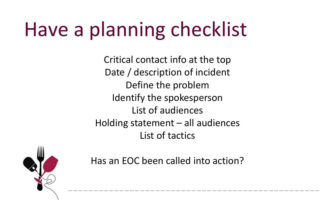## Have a planning checklist

- Critical contact info at the top
- Date / description of incident
	- Define the problem
	- Identify the spokesperson
		- List of audiences
- Holding statement all audiences List of tactics
- Has an EOC been called into action?

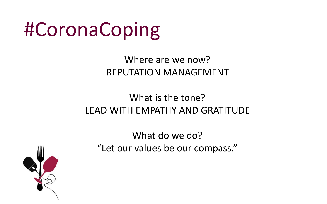## #CoronaCoping

#### Where are we now? REPUTATION MANAGEMENT

### What is the tone? LEAD WITH EMPATHY AND GRATITUDE

What do we do? "Let our values be our compass."

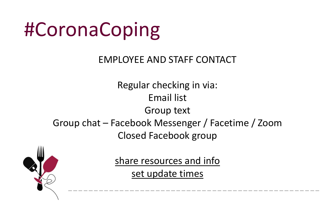## #CoronaCoping

#### EMPLOYEE AND STAFF CONTACT

Group text

- Regular checking in via: Email list
	-
	-
- Group chat Facebook Messenger / Facetime / Zoom Closed Facebook group
	- share resources and info set update times
- 

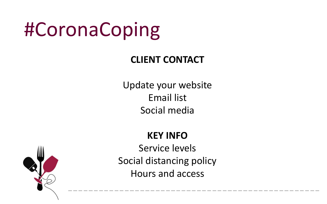## #CoronaCoping

### **CLIENT CONTACT**

- Update your website Email list Social media
	-
- 



### **KEY INFO** Service levels Social distancing policy Hours and access